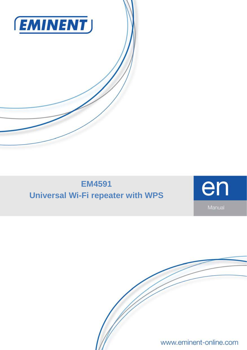

# **EM4591 Universal Wi-Fi repeater with WPS**



www.eminent-online.com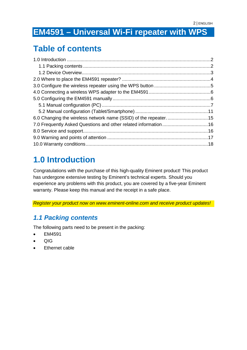# **EM4591 – Universal Wi-Fi repeater with WPS**

### **Table of contents**

## <span id="page-1-0"></span>**1.0 Introduction**

Congratulations with the purchase of this high-quality Eminent product! This product has undergone extensive testing by Eminent's technical experts. Should you experience any problems with this product, you are covered by a five-year Eminent warranty. Please keep this manual and the receipt in a safe place.

<span id="page-1-1"></span>*Register your product now on www.eminent-online.com and receive product updates!*

#### *1.1 Packing contents*

The following parts need to be present in the packing:

- EM4591
- $\bullet$   $\circ$   $\circ$   $\circ$
- Ethernet cable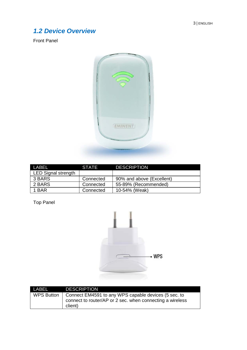#### <span id="page-2-0"></span>*1.2 Device Overview*

Front Panel



| I ABFI                     | <b>STATE</b> | <b>DESCRIPTION</b>        |
|----------------------------|--------------|---------------------------|
| <b>LED Signal strength</b> |              |                           |
| 3 BARS                     | Connected    | 90% and above (Excellent) |
| 2 BARS                     | Connected    | 55-89% (Recommended)      |
| 1 BAR                      | Connected    | 10-54% (Weak)             |

Top Panel



| LABEL      | <b>DESCRIPTION</b>                                                                                                           |
|------------|------------------------------------------------------------------------------------------------------------------------------|
| WPS Button | Connect EM4591 to any WPS capable devices (5 sec. to<br>connect to router/AP or 2 sec. when connecting a wireless<br>client) |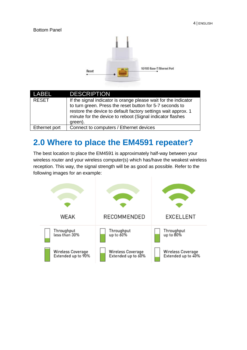#### Bottom Panel



| LABEL         | <b>DESCRIPTION</b>                                                                                                                                                                                                                                                   |
|---------------|----------------------------------------------------------------------------------------------------------------------------------------------------------------------------------------------------------------------------------------------------------------------|
| <b>RESET</b>  | If the signal indicator is orange please wait for the indicator<br>to turn green. Press the reset button for 5-7 seconds to<br>restore the device to default factory settings wait approx. 1<br>minute for the device to reboot (Signal indicator flashes<br>green). |
| Ethernet port | Connect to computers / Ethernet devices                                                                                                                                                                                                                              |

#### <span id="page-3-0"></span>**2.0 Where to place the EM4591 repeater?**

The best location to place the EM4591 is approximately half-way between your wireless router and your wireless computer(s) which has/have the weakest wireless reception. This way, the signal strength will be as good as possible. Refer to the following images for an example:

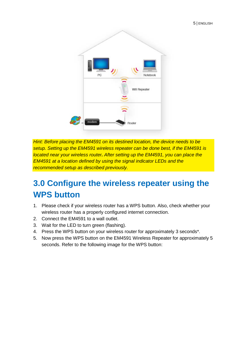

*Hint: Before placing the EM4591 on its destined location, the device needs to be setup. Setting up the EM4591 wireless repeater can be done best, if the EM4591 is located near your wireless router. After setting up the EM4591, you can place the EM4591 at a location defined by using the signal indicator LEDs and the recommended setup as described previously.*

# <span id="page-4-0"></span>**3.0 Configure the wireless repeater using the WPS button**

- 1. Please check if your wireless router has a WPS button. Also, check whether your wireless router has a properly configured internet connection.
- 2. Connect the EM4591 to a wall outlet.
- 3. Wait for the LED to turn green (flashing).
- 4. Press the WPS button on your wireless router for approximately 3 seconds\*.
- 5. Now press the WPS button on the EM4591 Wireless Repeater for approximately 5 seconds. Refer to the following image for the WPS button: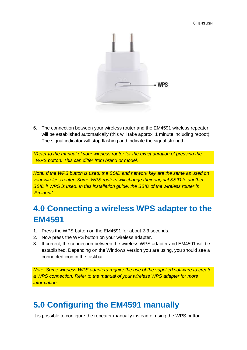

6. The connection between your wireless router and the EM4591 wireless repeater will be established automatically (this will take approx. 1 minute including reboot). The signal indicator will stop flashing and indicate the signal strength.

*\*Refer to the manual of your wireless router for the exact duration of pressing the WPS button. This can differ from brand or model.* 

*Note: If the WPS button is used, the SSID and network key are the same as used on your wireless router. Some WPS routers will change their original SSID to another*  **SSID if WPS is used. In this installation quide, the SSID of the wireless router is** *'Eminent'.*

# <span id="page-5-0"></span>**4.0 Connecting a wireless WPS adapter to the EM4591**

- 1. Press the WPS button on the EM4591 for about 2-3 seconds.
- 2. Now press the WPS button on your wireless adapter.
- 3. If correct, the connection between the wireless WPS adapter and EM4591 will be established. Depending on the Windows version you are using, you should see a connected icon in the taskbar.

*Note: Some wireless WPS adapters require the use of the supplied software to create a WPS connection. Refer to the manual of your wireless WPS adapter for more information.*

### <span id="page-5-1"></span>**5.0 Configuring the EM4591 manually**

It is possible to configure the repeater manually instead of using the WPS button.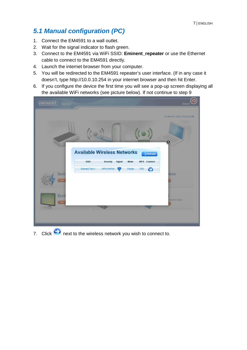#### <span id="page-6-0"></span>*5.1 Manual configuration (PC)*

- 1. Connect the EM4591 to a wall outlet.
- 2. Wait for the signal indicator to flash green.
- 3. Connect to the EM4591 via WiFi SSID: **Eminent\_repeater** or use the Ethernet cable to connect to the EM4591 directly.
- 4. Launch the internet browser from your computer.
- 5. You will be redirected to the EM4591 repeater's user interface. (If in any case it doesn't, type http://10.0.10.254 in your internet browser and then hit Enter.
- 6. If you configure the device the first time you will see a pop-up screen displaying all the available WiFi networks (see picture below). If not continue to step 9

| <b>EMINENT</b> EM4591                                                                                                                                                                                                | <b>Reboat</b>                                     |
|----------------------------------------------------------------------------------------------------------------------------------------------------------------------------------------------------------------------|---------------------------------------------------|
| <b>Available Wireless Networks</b><br>Refresh<br><b>SSID</b><br>Security<br>Signal<br>Mode<br><b>WPS</b><br>Connect<br><b>Eminent Test 1</b><br>WPA1/WPA2<br>11b/g/n<br><b>YES</b><br>0<br>6<br>Quid<br>View<br>Syst | Fri Nov 01, 2013 11:25:33 AM<br>$\bullet$<br>less |
| Vitra                                                                                                                                                                                                                | christed Betup                                    |

7. Click **C** next to the wireless network you wish to connect to.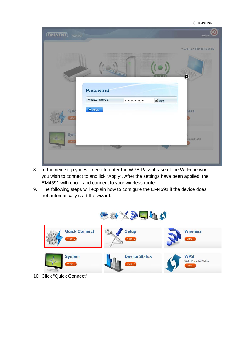|                                    |                             |                   | -----------                  |
|------------------------------------|-----------------------------|-------------------|------------------------------|
| <b>EMINENT</b> EM4591              |                             |                   | Q<br>Reboot                  |
|                                    |                             |                   | Thu Nov 07, 2013 10:53:07 AM |
|                                    | <b>Password</b>             |                   | $\circledcirc$               |
|                                    | Wireless Password:          | <br>$\nabla$ Mask |                              |
| Quic<br>$\pi_{\mathbb{R}}$<br>View | $\blacktriangleright$ Apply |                   | less                         |
| Syste<br>View                      |                             |                   | rotected Setup               |
|                                    |                             |                   |                              |

8 | ENGLISH

- 8. In the next step you will need to enter the WPA Passphrase of the Wi-Fi network you wish to connect to and lick "Apply". After the settings have been applied, the EM4591 will reboot and connect to your wireless router.
- 9. The following steps will explain how to configure the EM4591 if the device does not automatically start the wizard.



10. Click "Quick Connect"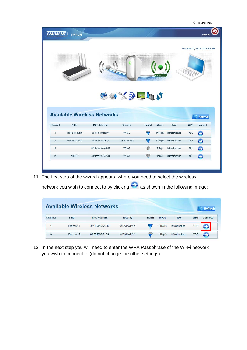|                | <b>EMINENT</b><br>EM4591 |                                    |                  |        |                   |                |            | <b>Reboot</b>                |
|----------------|--------------------------|------------------------------------|------------------|--------|-------------------|----------------|------------|------------------------------|
|                |                          |                                    |                  |        |                   |                |            | Thu Nov 07, 2013 10:54:02 AM |
|                |                          |                                    | 5級次も自由し          |        | connected         |                |            |                              |
|                |                          |                                    |                  |        |                   |                |            |                              |
|                |                          | <b>Available Wireless Networks</b> |                  |        |                   |                |            | Refresh                      |
| Channel        | <b>SSID</b>              | <b>MAC Address</b>                 | <b>Security</b>  | Signal | Mode              | <b>Type</b>    | <b>WPS</b> | <b>Connect</b>               |
| $\overline{1}$ | intronics-quest          | 00:14:5c:8f:ba:10                  | WPA <sub>2</sub> | ਵ      | 11b/q/n           | Infrastructure | <b>YES</b> | 0                            |
| $\overline{1}$ | <b>Eminent Test 1</b>    | 00:14:5c:8f:6b:d0                  | WPA1/WPA2        |        | 11b/g/n           | Infrastructure | <b>YES</b> | 0                            |
| $6\phantom{1}$ |                          | 00:3a:9a:44:48:d0                  | WPA1             | ₹      | 11 <sub>b/g</sub> | Infrastructure | <b>NO</b>  | 0                            |

11. The first step of the wizard appears, where you need to select the wireless network you wish to connect to by clicking  $\bullet$  as shown in the following image:

|         |                      | <b>Available Wireless Networks</b> |                 |        |         |                |            | Refresh |
|---------|----------------------|------------------------------------|-----------------|--------|---------|----------------|------------|---------|
| Channel | <b>SSID</b>          | <b>MAC Address</b>                 | <b>Security</b> | Signal | Mode    | <b>Type</b>    | <b>WPS</b> | Connect |
|         | Eminent <sub>1</sub> | 00:14:5c:8c:20:10                  | WPA1/WPA2       |        | 11b/a/n | Infrastructure | <b>YES</b> |         |
| 6       | Eminent <sub>2</sub> | 08:76:ff:89:81:64                  | WPA1/WPA2       | €      | 11b/q/n | Infrastructure | <b>YES</b> | 5       |

12. In the next step you will need to enter the WPA Passphrase of the Wi-Fi network you wish to connect to (do not change the other settings).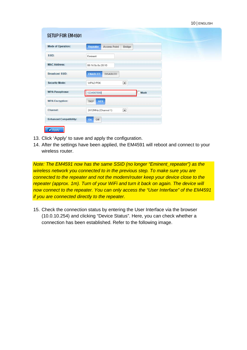|  | 10   ENGLISH |
|--|--------------|
|--|--------------|

| <b>SETUP FOR EM4591</b>        |                                       |             |
|--------------------------------|---------------------------------------|-------------|
| <b>Mode of Operation:</b>      | Repeater<br><b>Access Point</b>       | Bridge      |
| SSID:                          | Eminent                               |             |
| <b>MAC Address:</b>            | 00:14:5c:8c:20:10                     |             |
| <b>Broadcast SSID:</b>         | <b>DISABLED</b><br><b>ENABLED</b>     |             |
| <b>Security Mode:</b>          | $\bullet$<br>WPA2 PSK                 |             |
| <b>WPA Passphrase:</b>         | 1234567890                            | <b>Mask</b> |
| <b>WPA Encryption:</b>         | <b>AES</b><br><b>TKIP</b>             |             |
| Channel:                       | $\blacksquare$<br>2412MHz (Channel 1) |             |
| <b>Enhanced Compatibility:</b> | Off<br>On                             |             |

- 13. Click 'Apply' to save and apply the configuration.
- 14. After the settings have been applied, the EM4591 will reboot and connect to your wireless router.

*Note: The EM4591 now has the same SSID (no longer "Eminent\_repeater") as the wireless network you connected to in the previous step. To make sure you are connected to the repeater and not the modem/router keep your device close to the repeater (approx. 1m). Turn of your WiFi and turn it back on again. The device will now connect to the repeater. You can only access the "User Interface" of the EM4591 if you are connected directly to the repeater.*

15. Check the connection status by entering the User Interface via the browser (10.0.10.254) and clicking "Device Status". Here, you can check whether a connection has been established. Refer to the following image.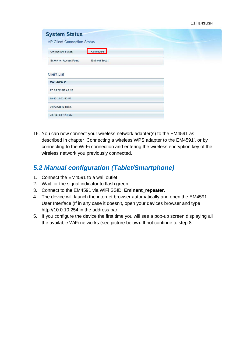| <b>System Status</b>                                    |  |
|---------------------------------------------------------|--|
| <b>AP Client Connection Status</b>                      |  |
| Connected<br><b>Connection Status:</b>                  |  |
| <b>Eminent Test 1</b><br><b>Extension Access Point:</b> |  |
| <b>Client List</b>                                      |  |
| <b>MAC Address</b>                                      |  |
| FC:25:3F:AB:AA:2F                                       |  |
| 00:13:33:93:B2:F9                                       |  |
| 70:73:CB:27:83:85                                       |  |
| 78:D6:F0:F3:31:2A                                       |  |

16. You can now connect your wireless network adapter(s) to the EM4591 as described in chapter 'Connecting a wireless WPS adapter to the EM4591', or by connecting to the Wi-Fi connection and entering the wireless encryption key of the wireless network you previously connected.

#### <span id="page-10-0"></span>*5.2 Manual configuration (Tablet/Smartphone)*

- 1. Connect the EM4591 to a wall outlet.
- 2. Wait for the signal indicator to flash green.
- 3. Connect to the EM4591 via WiFi SSID: **Eminent\_repeater**.
- 4. The device will launch the internet browser automatically and open the EM4591 User Interface (If in any case it doesn't, open your devices browser and type http://10.0.10.254 in the address bar.
- 5. If you configure the device the first time you will see a pop-up screen displaying all the available WiFi networks (see picture below). If not continue to step 8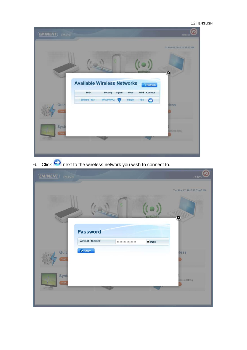

6. Click  $\leftrightarrow$  next to the wireless network you wish to connect to.

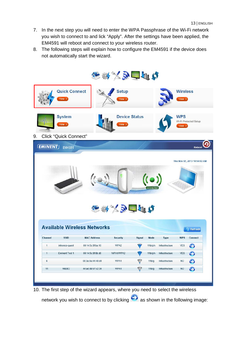- 7. In the next step you will need to enter the WPA Passphrase of the Wi-Fi network you wish to connect to and lick "Apply". After the settings have been applied, the EM4591 will reboot and connect to your wireless router.
- 8. The following steps will explain how to configure the EM4591 if the device does not automatically start the wizard.



10. The first step of the wizard appears, where you need to select the wireless network you wish to connect to by clicking  $\bigodot$  as shown in the following image: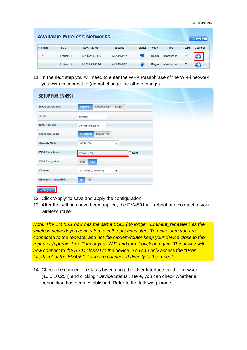| <b>Available Wireless Networks</b> |                      |                    |                 |        |         |                |            | Refresh        |
|------------------------------------|----------------------|--------------------|-----------------|--------|---------|----------------|------------|----------------|
| Channel                            | <b>SSID</b>          | <b>MAC Address</b> | <b>Security</b> | Signal | Mode    | <b>Type</b>    | <b>WPS</b> | <b>Connect</b> |
|                                    | Eminent <sub>1</sub> | 00:14:5c:8c:20:10  | WPA1/WPA2       | €      | 11b/a/n | Infrastructure | <b>YES</b> |                |
| 6                                  | Eminent <sub>2</sub> | 08:76:ff:89:81:64  | WPA1/WPA2       | €      | 11b/q/n | Infrastructure | <b>YES</b> | O              |

11. In the next step you will need to enter the WPA Passphrase of the Wi-Fi network you wish to connect to (do not change the other settings).

| <b>SETUP FOR EM4591</b>        |                                           |
|--------------------------------|-------------------------------------------|
| <b>Mode of Operation:</b>      | Repeater<br><b>Access Point</b><br>Bridge |
| SSID:                          | Eminent                                   |
| <b>MAC Address:</b>            | 00:14:5c:8c:20:10                         |
| <b>Broadcast SSID:</b>         | <b>ENABLED</b><br><b>DISABLED</b>         |
| <b>Security Mode:</b>          | $\blacksquare$<br>WPA2 PSK                |
| <b>WPA Passphrase:</b>         | 1234567890<br><b>Mask</b>                 |
| <b>WPA Encryption:</b>         | <b>AES</b><br><b>TKIP</b>                 |
| Channel:                       | $\bullet$<br>2412MHz (Channel 1)          |
| <b>Enhanced Compatibility:</b> | Off<br>On                                 |

- 12. Click 'Apply' to save and apply the configuration.
- 13. After the settings have been applied, the EM4591 will reboot and connect to your wireless router.

*Note: The EM4591 now has the same SSID (no longer "Eminent\_repeater") as the wireless network you connected to in the previous step. To make sure you are connected to the repeater and not the modem/router keep your device close to the repeater (approx. 1m). Turn of your WiFi and turn it back on again. The device will now connect to the SSID closest to the device. You can only access the "User Interface" of the EM4591 if you are connected directly to the repeater.*

14. Check the connection status by entering the User Interface via the browser (10.0.10.254) and clicking "Device Status". Here, you can check whether a connection has been established. Refer to the following image.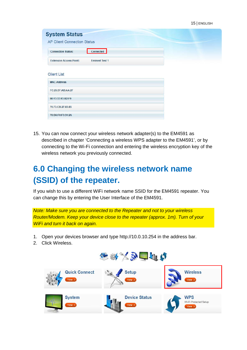| <b>System Status</b>                     |                       |  |  |
|------------------------------------------|-----------------------|--|--|
| <b>AP Client Connection Status</b>       |                       |  |  |
| <b>Connection Status:</b>                | Connected             |  |  |
| <b>Extension Access Point:</b>           | <b>Eminent Test 1</b> |  |  |
| <b>Client List</b><br><b>MAC Address</b> |                       |  |  |
| FC:25:3F:AB:AA:2F                        |                       |  |  |
| 00:13:33:93:B2:F9                        |                       |  |  |
| 70:73:CB:27:83:85                        |                       |  |  |
| 78:D6:F0:F3:31:2A                        |                       |  |  |

15. You can now connect your wireless network adapter(s) to the EM4591 as described in chapter 'Connecting a wireless WPS adapter to the EM4591', or by connecting to the Wi-Fi connection and entering the wireless encryption key of the wireless network you previously connected.

## <span id="page-14-0"></span>**6.0 Changing the wireless network name (SSID) of the repeater.**

If you wish to use a different WiFi network name SSID for the EM4591 repeater. You can change this by entering the User Interface of the EM4591.

*Note: Make sure you are connected to the Repeater and not to your wireless Router/Modem. Keep your device close to the repeater (approx. 1m). Turn of your WiFi and turn it back on again.*

- 1. Open your devices browser and type http://10.0.10.254 in the address bar.
- 2. Click Wireless.

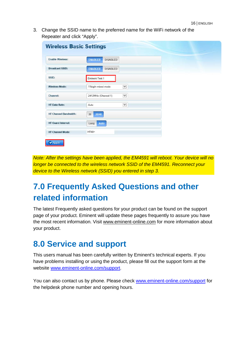3. Change the SSID name to the preferred name for the WiFi network of the Repeater and click "Apply".

| <b>Enable Wireless:</b>      | <b>ENABLED</b><br><b>DISABLED</b>   |  |
|------------------------------|-------------------------------------|--|
|                              |                                     |  |
| <b>Broadcast SSID:</b>       | <b>ENABLED</b><br><b>DISABLED</b>   |  |
| SSID:                        | <b>Eminent Test 1</b>               |  |
| <b>Wireless Mode:</b>        | $\checkmark$<br>11b/g/n mixed mode  |  |
| Channel:                     | $\checkmark$<br>2412MHz (Channel 1) |  |
| <b>HT Data Rate:</b>         | $\blacktriangledown$<br>Auto        |  |
| <b>HT Channel Bandwidth:</b> | 20<br>20/40                         |  |
| <b>HT Guard Interval:</b>    | Auto<br>Long                        |  |
| <b>HT Channel Mode:</b>      | $HT40+$                             |  |

*Note: After the settings have been applied, the EM4591 will reboot. Your device will no longer be connected to the wireless network SSID of the EM4591. Reconnect your device to the Wireless network (SSID) you entered in step 3.*

# <span id="page-15-0"></span>**7.0 Frequently Asked Questions and other related information**

The latest Frequently asked questions for your product can be found on the support page of your product. Eminent will update these pages frequently to assure you have the most recent information. Visi[t www.eminent-online.com](http://www.eminent-online.com/) for more information about your product.

#### <span id="page-15-1"></span>**8.0 Service and support**

This users manual has been carefully written by Eminent's technical experts. If you have problems installing or using the product, please fill out the support form at the website [www.eminent-online.com/support.](http://www.eminent-online.com/support)

You can also contact us by phone. Please check www.eminent-online.com/support for the helpdesk phone number and opening hours.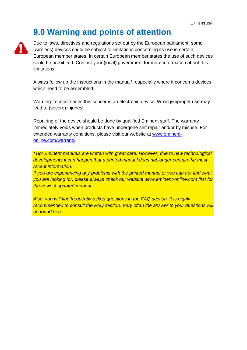#### <span id="page-16-0"></span>**9.0 Warning and points of attention**



Due to laws, directives and regulations set out by the European parliament, some (wireless) devices could be subject to limitations concerning its use in certain European member states. In certain European member states the use of such devices could be prohibited. Contact your (local) government for more information about this limitations.

Always follow up the instructions in the manual\*, especially where it concerns devices which need to be assembled.

Warning: In most cases this concerns an electronic device. Wrong/improper use may lead to (severe) injuries!

Repairing of the device should be done by qualified Eminent staff. The warranty immediately voids when products have undergone self repair and/or by misuse. For extended warranty conditions, please visit our website at [www.eminent](http://www.eminent-online.com/warranty)[online.com/warranty.](http://www.eminent-online.com/warranty) 

*\*Tip: Eminent manuals are written with great care. However, due to new technological developments it can happen that a printed manual does not longer contain the most recent information.*

*If you are experiencing any problems with the printed manual or you can not find what you are looking for, please always check our website www.eminent-online.com first for the newest updated manual.* 

*Also, you will find frequently asked questions in the FAQ section. It is highly*  recommended to consult the FAQ section. Very often the answer to your questions will *be found here.*